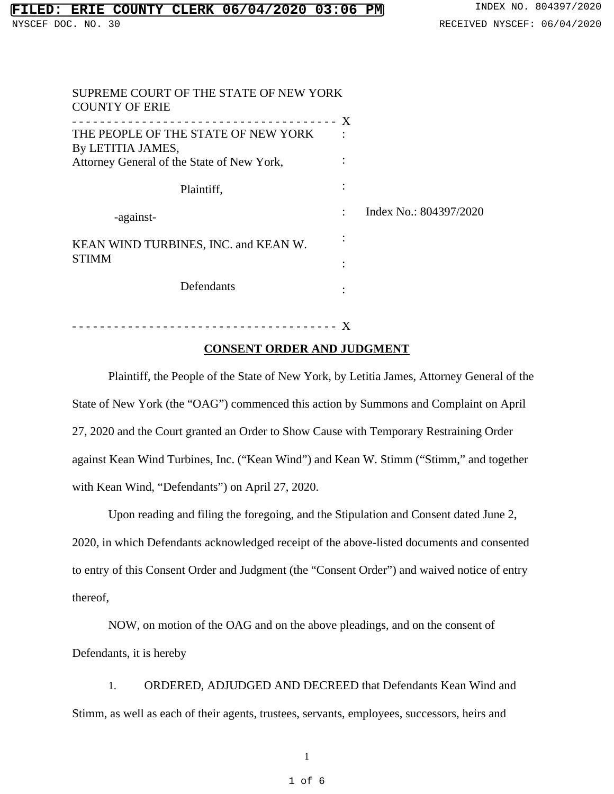| SUPREME COURT OF THE STATE OF NEW YORK<br><b>COUNTY OF ERIE</b> |  |                        |
|-----------------------------------------------------------------|--|------------------------|
|                                                                 |  |                        |
| THE PEOPLE OF THE STATE OF NEW YORK<br>By LETITIA JAMES,        |  |                        |
| Attorney General of the State of New York,                      |  |                        |
| Plaintiff,                                                      |  |                        |
| -against-                                                       |  | Index No.: 804397/2020 |
| KEAN WIND TURBINES, INC. and KEAN W.                            |  |                        |
| <b>STIMM</b>                                                    |  |                        |
| Defendants                                                      |  |                        |

# - - - - - - - - - - - - - - - - - - - - - - - - - - - - - - - - - - - - - - X

# **CONSENT ORDER AND JUDGMENT**

Plaintiff, the People of the State of New York, by Letitia James, Attorney General of the State of New York (the "OAG") commenced this action by Summons and Complaint on April 27, 2020 and the Court granted an Order to Show Cause with Temporary Restraining Order against Kean Wind Turbines, Inc. ("Kean Wind") and Kean W. Stimm ("Stimm," and together with Kean Wind, "Defendants") on April 27, 2020.

Upon reading and filing the foregoing, and the Stipulation and Consent dated June 2, 2020, in which Defendants acknowledged receipt of the above-listed documents and consented to entry of this Consent Order and Judgment (the "Consent Order") and waived notice of entry thereof,

NOW, on motion of the OAG and on the above pleadings, and on the consent of Defendants, it is hereby

1. ORDERED, ADJUDGED AND DECREED that Defendants Kean Wind and Stimm, as well as each of their agents, trustees, servants, employees, successors, heirs and

1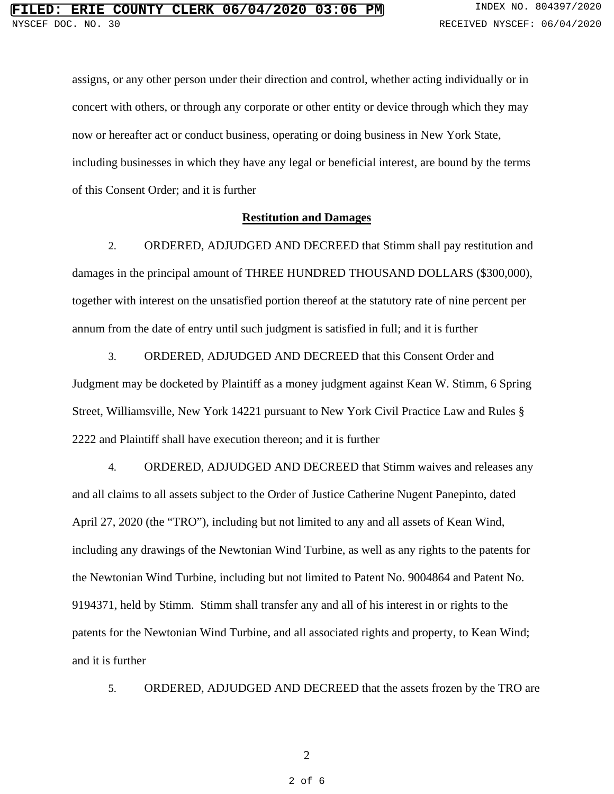assigns, or any other person under their direction and control, whether acting individually or in concert with others, or through any corporate or other entity or device through which they may now or hereafter act or conduct business, operating or doing business in New York State, including businesses in which they have any legal or beneficial interest, are bound by the terms of this Consent Order; and it is further

## **Restitution and Damages**

2. ORDERED, ADJUDGED AND DECREED that Stimm shall pay restitution and damages in the principal amount of THREE HUNDRED THOUSAND DOLLARS (\$300,000), together with interest on the unsatisfied portion thereof at the statutory rate of nine percent per annum from the date of entry until such judgment is satisfied in full; and it is further

3. ORDERED, ADJUDGED AND DECREED that this Consent Order and Judgment may be docketed by Plaintiff as a money judgment against Kean W. Stimm, 6 Spring Street, Williamsville, New York 14221 pursuant to New York Civil Practice Law and Rules § 2222 and Plaintiff shall have execution thereon; and it is further

4. ORDERED, ADJUDGED AND DECREED that Stimm waives and releases any and all claims to all assets subject to the Order of Justice Catherine Nugent Panepinto, dated April 27, 2020 (the "TRO"), including but not limited to any and all assets of Kean Wind, including any drawings of the Newtonian Wind Turbine, as well as any rights to the patents for the Newtonian Wind Turbine, including but not limited to Patent No. 9004864 and Patent No. 9194371, held by Stimm. Stimm shall transfer any and all of his interest in or rights to the patents for the Newtonian Wind Turbine, and all associated rights and property, to Kean Wind; and it is further

5. ORDERED, ADJUDGED AND DECREED that the assets frozen by the TRO are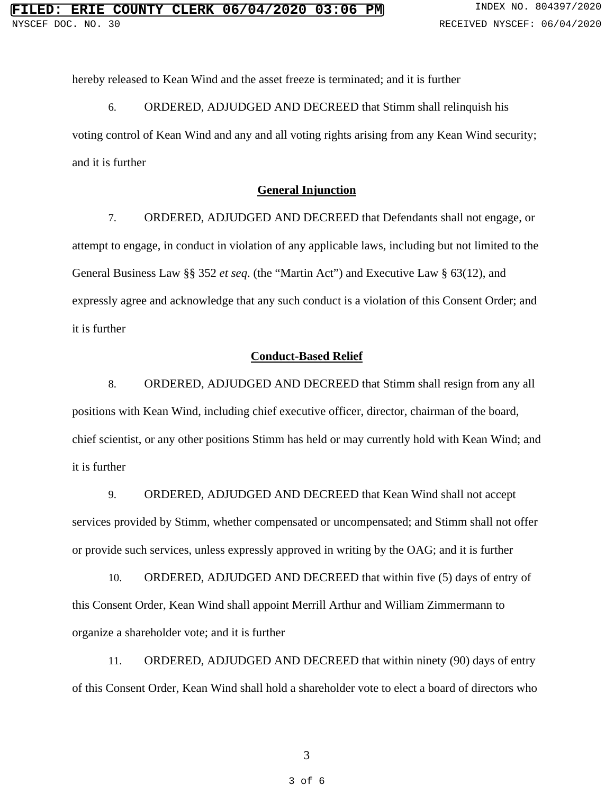hereby released to Kean Wind and the asset freeze is terminated; and it is further

6. ORDERED, ADJUDGED AND DECREED that Stimm shall relinquish his

voting control of Kean Wind and any and all voting rights arising from any Kean Wind security; and it is further

### **General Injunction**

7. ORDERED, ADJUDGED AND DECREED that Defendants shall not engage, or attempt to engage, in conduct in violation of any applicable laws, including but not limited to the General Business Law §§ 352 *et seq*. (the "Martin Act") and Executive Law § 63(12), and expressly agree and acknowledge that any such conduct is a violation of this Consent Order; and it is further

#### **Conduct-Based Relief**

8. ORDERED, ADJUDGED AND DECREED that Stimm shall resign from any all positions with Kean Wind, including chief executive officer, director, chairman of the board, chief scientist, or any other positions Stimm has held or may currently hold with Kean Wind; and it is further

9. ORDERED, ADJUDGED AND DECREED that Kean Wind shall not accept services provided by Stimm, whether compensated or uncompensated; and Stimm shall not offer or provide such services, unless expressly approved in writing by the OAG; and it is further

10. ORDERED, ADJUDGED AND DECREED that within five (5) days of entry of this Consent Order, Kean Wind shall appoint Merrill Arthur and William Zimmermann to organize a shareholder vote; and it is further

11. ORDERED, ADJUDGED AND DECREED that within ninety (90) days of entry of this Consent Order, Kean Wind shall hold a shareholder vote to elect a board of directors who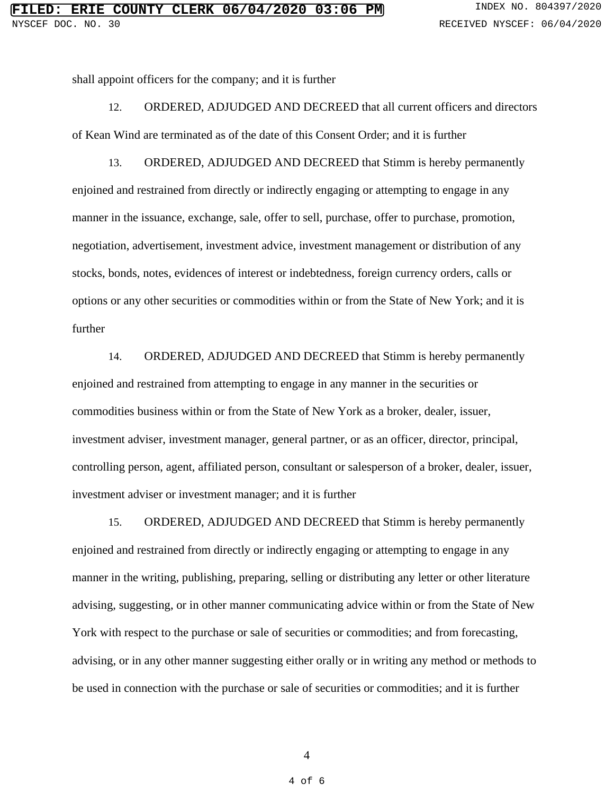shall appoint officers for the company; and it is further

12. ORDERED, ADJUDGED AND DECREED that all current officers and directors of Kean Wind are terminated as of the date of this Consent Order; and it is further

13. ORDERED, ADJUDGED AND DECREED that Stimm is hereby permanently enjoined and restrained from directly or indirectly engaging or attempting to engage in any manner in the issuance, exchange, sale, offer to sell, purchase, offer to purchase, promotion, negotiation, advertisement, investment advice, investment management or distribution of any stocks, bonds, notes, evidences of interest or indebtedness, foreign currency orders, calls or options or any other securities or commodities within or from the State of New York; and it is further

14. ORDERED, ADJUDGED AND DECREED that Stimm is hereby permanently enjoined and restrained from attempting to engage in any manner in the securities or commodities business within or from the State of New York as a broker, dealer, issuer, investment adviser, investment manager, general partner, or as an officer, director, principal, controlling person, agent, affiliated person, consultant or salesperson of a broker, dealer, issuer, investment adviser or investment manager; and it is further

15. ORDERED, ADJUDGED AND DECREED that Stimm is hereby permanently enjoined and restrained from directly or indirectly engaging or attempting to engage in any manner in the writing, publishing, preparing, selling or distributing any letter or other literature advising, suggesting, or in other manner communicating advice within or from the State of New York with respect to the purchase or sale of securities or commodities; and from forecasting, advising, or in any other manner suggesting either orally or in writing any method or methods to be used in connection with the purchase or sale of securities or commodities; and it is further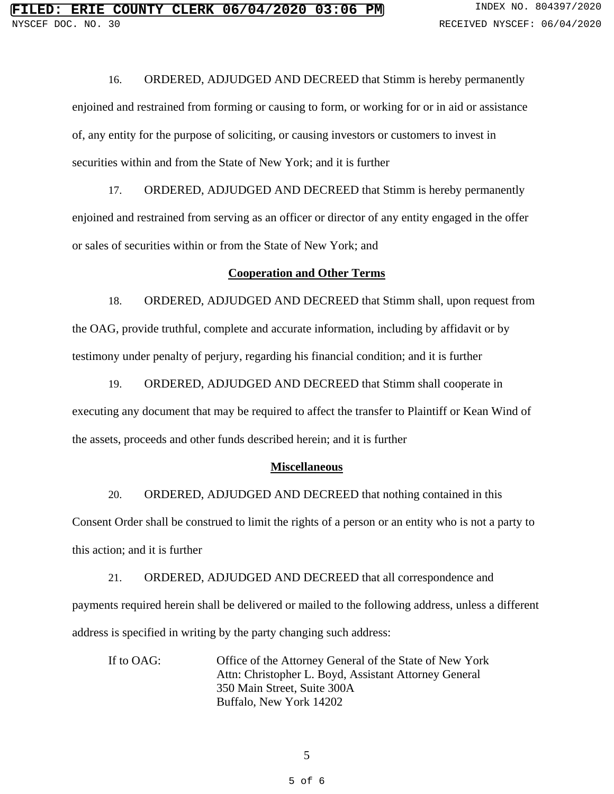16. ORDERED, ADJUDGED AND DECREED that Stimm is hereby permanently enjoined and restrained from forming or causing to form, or working for or in aid or assistance of, any entity for the purpose of soliciting, or causing investors or customers to invest in securities within and from the State of New York; and it is further

17. ORDERED, ADJUDGED AND DECREED that Stimm is hereby permanently enjoined and restrained from serving as an officer or director of any entity engaged in the offer or sales of securities within or from the State of New York; and

#### **Cooperation and Other Terms**

18. ORDERED, ADJUDGED AND DECREED that Stimm shall, upon request from the OAG, provide truthful, complete and accurate information, including by affidavit or by testimony under penalty of perjury, regarding his financial condition; and it is further

19. ORDERED, ADJUDGED AND DECREED that Stimm shall cooperate in executing any document that may be required to affect the transfer to Plaintiff or Kean Wind of the assets, proceeds and other funds described herein; and it is further

### **Miscellaneous**

20. ORDERED, ADJUDGED AND DECREED that nothing contained in this Consent Order shall be construed to limit the rights of a person or an entity who is not a party to this action; and it is further

21. ORDERED, ADJUDGED AND DECREED that all correspondence and payments required herein shall be delivered or mailed to the following address, unless a different address is specified in writing by the party changing such address:

If to OAG: Office of the Attorney General of the State of New York Attn: Christopher L. Boyd, Assistant Attorney General 350 Main Street, Suite 300A Buffalo, New York 14202